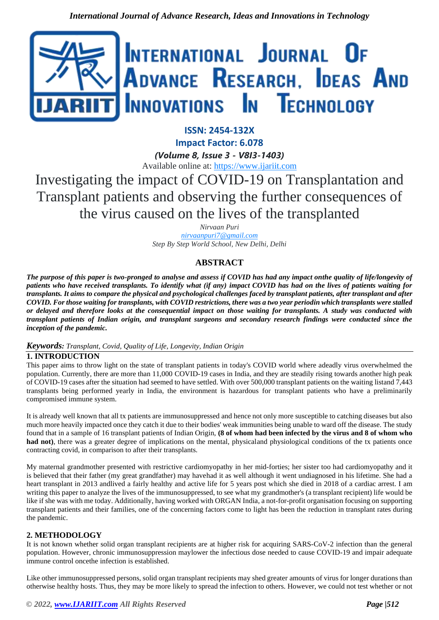

**ISSN: 2454-132X Impact Factor: 6.078** *(Volume 8, Issue 3 - V8I3-1403)*

Available online at: [https://www.ijariit.com](https://www.ijariit.com/?utm_source=pdf&utm_medium=edition&utm_campaign=OmAkSols&utm_term=V8I3-1403)

Investigating the impact of COVID-19 on Transplantation and Transplant patients and observing the further consequences of the virus caused on the lives of the transplanted

> *Nirvaan Puri [nirvaanpuri7@gmail.com](mailto:nirvaanpuri7@gmail.com) Step By Step World School, New Delhi, Delhi*

# **ABSTRACT**

*The purpose of this paper is two-pronged to analyse and assess if COVID has had any impact onthe quality of life/longevity of patients who have received transplants. To identify what (if any) impact COVID has had on the lives of patients waiting for transplants. It aims to compare the physical and psychological challenges faced by transplant patients, after transplant and after COVID. For those waiting for transplants, with COVID restrictions, there was a two year periodin which transplants were stalled or delayed and therefore looks at the consequential impact on those waiting for transplants. A study was conducted with transplant patients of Indian origin, and transplant surgeons and secondary research findings were conducted since the inception of the pandemic.*

# *Keywords: Transplant, Covid, Quality of Life, Longevity, Indian Origin*

# **1. INTRODUCTION**

This paper aims to throw light on the state of transplant patients in today's COVID world where adeadly virus overwhelmed the population. Currently, there are more than 11,000 COVID-19 cases in India, and they are steadily rising towards another high peak of COVID-19 cases after the situation had seemed to have settled. With over 500,000 transplant patients on the waiting listand 7,443 transplants being performed yearly in India, the environment is hazardous for transplant patients who have a preliminarily compromised immune system.

It is already well known that all tx patients are immunosuppressed and hence not only more susceptible to catching diseases but also much more heavily impacted once they catch it due to their bodies' weak immunities being unable to ward off the disease. The study found that in a sample of 16 transplant patients of Indian Origin, **(8 of whom had been infected by the virus and 8 of whom who**  had not), there was a greater degree of implications on the mental, physicaland physiological conditions of the tx patients once contracting covid, in comparison to after their transplants.

My maternal grandmother presented with restrictive cardiomyopathy in her mid-forties; her sister too had cardiomyopathy and it is believed that their father (my great grandfather) may havehad it as well although it went undiagnosed in his lifetime. She had a heart transplant in 2013 andlived a fairly healthy and active life for 5 years post which she died in 2018 of a cardiac arrest. I am writing this paper to analyze the lives of the immunosuppressed, to see what my grandmother's (a transplant recipient) life would be like if she was with me today. Additionally, having worked with ORGAN India, a not-for-profit organisation focusing on supporting transplant patients and their families, one of the concerning factors come to light has been the reduction in transplant rates during the pandemic.

# **2. METHODOLOGY**

It is not known whether solid organ transplant recipients are at higher risk for acquiring SARS-CoV-2 infection than the general population. However, chronic immunosuppression maylower the infectious dose needed to cause COVID-19 and impair adequate immune control oncethe infection is established.

Like other immunosuppressed persons, solid organ transplant recipients may shed greater amounts of virus for longer durations than otherwise healthy hosts. Thus, they may be more likely to spread the infection to others. However, we could not test whether or not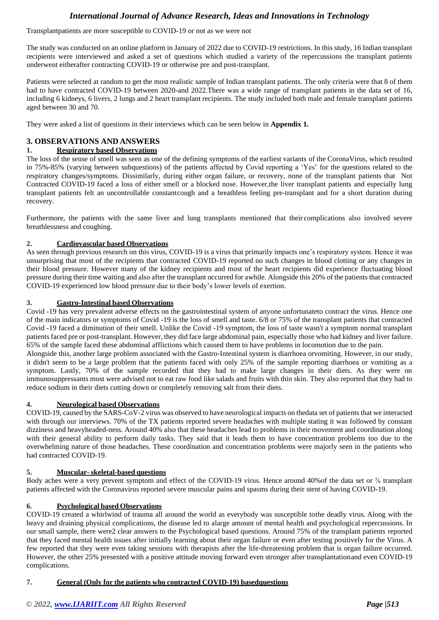Transplantpatients are more susceptible to COVID-19 or not as we were not

The study was conducted on an online platform in January of 2022 due to COVID-19 restrictions. In this study, 16 Indian transplant recipients were interviewed and asked a set of questions which studied a variety of the repercussions the transplant patients underwent eitherafter contracting COVID-19 or otherwise pre and post-transplant.

Patients were selected at random to get the most realistic sample of Indian transplant patients. The only criteria were that 8 of them had to have contracted COVID-19 between 2020-and 2022.There was a wide range of transplant patients in the data set of 16, including 6 kidneys, 6 livers, 2 lungs and 2 heart transplant recipients. The study included both male and female transplant patients aged between 30 and 70.

They were asked a list of questions in their interviews which can be seen below in **Appendix 1.**

# **3. OBSERVATIONS AND ANSWERS**

### **1. Respiratory based Observations**

The loss of the sense of smell was seen as one of the defining symptoms of the earliest variants of the CoronaVirus, which resulted in 75%-85% (varying between subquestions) of the patients affected by Covid reporting a 'Yes' for the questions related to the respiratory changes/symptoms. Dissimilarly, during either organ failure, or recovery, none of the transplant patients that Not Contracted COVID-19 faced a loss of either smell or a blocked nose. However,the liver transplant patients and especially lung transplant patients felt an uncontrollable constantcough and a breathless feeling pre-transplant and for a short duration during recovery.

Furthermore, the patients with the same liver and lung transplants mentioned that their complications also involved severe breathlessness and coughing.

### **2. Cardiovascular based Observations**

As seen through previous research on this virus, COVID-19 is a virus that primarily impacts one's respiratory system. Hence it was unsurprising that most of the recipients that contracted COVID-19 reported no such changes in blood clotting or any changes in their blood pressure. However many of the kidney recipients and most of the heart recipients did experience fluctuating blood pressure during their time waiting and also after the transplant occurred for awhile. Alongside this 20% of the patients that contracted COVID-19 experienced low blood pressure due to their body's lower levels of exertion.

### **3. Gastro-Intestinal based Observations**

Covid -19 has very prevalent adverse effects on the gastrointestinal system of anyone unfortunateto contract the virus. Hence one of the main indicators or symptoms of Covid -19 is the loss of smell and taste. 6/8 or 75% of the transplant patients that contracted Covid -19 faced a diminution of their smell. Unlike the Covid -19 symptom, the loss of taste wasn't a symptom normal transplant patients faced pre or post-transplant. However, they did face large abdominal pain, especially those who had kidney and liver failure. 65% of the sample faced these abdominal afflictions which caused them to have problems in locomotion due to the pain.

Alongside this, another large problem associated with the Gastro-Intestinal system is diarrhoea orvomiting. However, in our study, it didn't seem to be a large problem that the patients faced with only 25% of the sample reporting diarrhoea or vomiting as a symptom. Lastly, 70% of the sample recorded that they had to make large changes in their diets. As they were on immunosuppressants most were advised not to eat raw food like salads and fruits with thin skin. They also reported that they had to reduce sodium in their diets cutting down or completely removing salt from their diets.

### **4. Neurological based Observations**

COVID-19, caused by the SARS-CoV-2 virus was observed to have neurological impacts on thedata set of patients that we interacted with through our interviews. 70% of the TX patients reported severe headaches with multiple stating it was followed by constant dizziness and heavyheaded-ness. Around 40% also that these headaches lead to problems in their movement and coordination along with their general ability to perform daily tasks. They said that it leads them to have concentration problems too due to the overwhelming nature of those headaches. These coordination and concentration problems were majorly seen in the patients who had contracted COVID-19.

### **5. Muscular- skeletal-based questions**

Body aches were a very prevent symptom and effect of the COVID-19 virus. Hence around 40% of the data set or % transplant patients affected with the Coronavirus reported severe muscular pains and spasms during their stent of having COVID-19.

### **6. Psychological based Observations**

COVID-19 created a whirlwind of trauma all around the world as everybody was susceptible tothe deadly virus. Along with the heavy and draining physical complications, the disease led to alarge amount of mental health and psychological repercussions. In our small sample, there were2 clear answers to the Psychological based questions. Around 75% of the transplant patients reported that they faced mental health issues after initially learning about their organ failure or even after testing positively for the Virus. A few reported that they were even taking sessions with therapists after the life-threatening problem that is organ failure occurred. However, the other 25% presented with a positive attitude moving forward even stronger after transplantationand even COVID-19 complications.

### **7. General (Only for the patients who contracted COVID-19) basedquestions**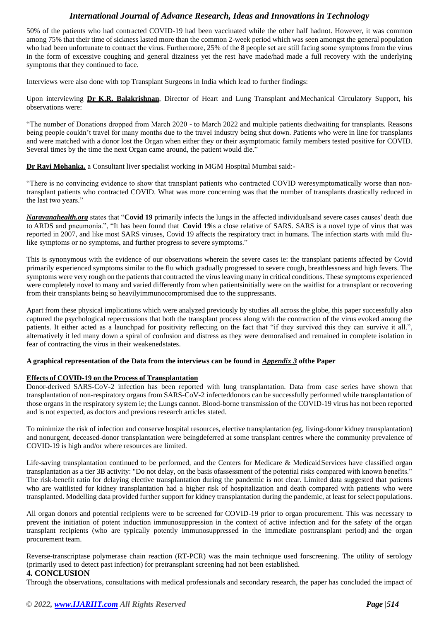50% of the patients who had contracted COVID-19 had been vaccinated while the other half hadnot. However, it was common among 75% that their time of sickness lasted more than the common 2-week period which was seen amongst the general population who had been unfortunate to contract the virus. Furthermore, 25% of the 8 people set are still facing some symptoms from the virus in the form of excessive coughing and general dizziness yet the rest have made/had made a full recovery with the underlying symptoms that they continued to face.

Interviews were also done with top Transplant Surgeons in India which lead to further findings:

Upon interviewing **Dr K.R. Balakrishnan**, Director of Heart and Lung Transplant andMechanical Circulatory Support, his observations were:

"The number of Donations dropped from March 2020 - to March 2022 and multiple patients diedwaiting for transplants. Reasons being people couldn't travel for many months due to the travel industry being shut down. Patients who were in line for transplants and were matched with a donor lost the Organ when either they or their asymptomatic family members tested positive for COVID. Several times by the time the next Organ came around, the patient would die."

**Dr Ravi Mohanka,** a Consultant liver specialist working in MGM Hospital Mumbai said:-

"There is no convincing evidence to show that transplant patients who contracted COVID weresymptomatically worse than nontransplant patients who contracted COVID. What was more concerning was that the number of transplants drastically reduced in the last two years."

*Narayanahealth.org* states that "**Covid 19** primarily infects the lungs in the affected individualsand severe cases causes' death due to ARDS and pneumonia.", "It has been found that **Covid 19**is a close relative of SARS. SARS is a novel type of virus that was reported in 2007, and like most SARS viruses, Covid 19 affects the respiratory tract in humans. The infection starts with mild flulike symptoms or no symptoms, and further progress to severe symptoms."

This is synonymous with the evidence of our observations wherein the severe cases ie: the transplant patients affected by Covid primarily experienced symptoms similar to the flu which gradually progressed to severe cough, breathlessness and high fevers. The symptoms were very rough on the patients that contracted the virus leaving many in critical conditions. These symptoms experienced were completely novel to many and varied differently from when patientsinitially were on the waitlist for a transplant or recovering from their transplants being so heavilyimmunocompromised due to the suppressants.

Apart from these physical implications which were analyzed previously by studies all across the globe, this paper successfully also captured the psychological repercussions that both the transplant process along with the contraction of the virus evoked among the patients. It either acted as a launchpad for positivity reflecting on the fact that "if they survived this they can survive it all.", alternatively it led many down a spiral of confusion and distress as they were demoralised and remained in complete isolation in fear of contracting the virus in their weakenedstates.

### **A graphical representation of the Data from the interviews can be found in** *Appendix 3* **ofthe Paper**

### **Effects of COVID-19 on the Process of Transplantation**

Donor-derived SARS-CoV-2 infection has been reported with lung transplantation. Data from case series have shown that transplantation of non-respiratory organs from SARS-CoV-2 infecteddonors can be successfully performed while transplantation of those organs in the respiratory system ie; the Lungs cannot. Blood-borne transmission of the COVID-19 virus has not been reported and is not expected, as doctors and previous research articles stated.

To minimize the risk of infection and conserve hospital resources, elective transplantation (eg, living-donor kidney transplantation) and nonurgent, deceased-donor transplantation were beingdeferred at some transplant centres where the community prevalence of COVID-19 is high and/or where resources are limited.

Life-saving transplantation continued to be performed, and the Centers for Medicare & MedicaidServices have classified organ transplantation as a tier 3B activity: "Do not delay, on the basis ofassessment of the potential risks compared with known benefits." The risk-benefit ratio for delaying elective transplantation during the pandemic is not clear. Limited data suggested that patients who are waitlisted for kidney transplantation had a higher risk of hospitalization and death compared with patients who were transplanted. Modelling data provided further support for kidney transplantation during the pandemic, at least for select populations.

All organ donors and potential recipients were to be screened for COVID-19 prior to organ procurement. This was necessary to prevent the initiation of potent induction immunosuppression in the context of active infection and for the safety of the organ transplant recipients (who are typically potently immunosuppressed in the immediate posttransplant period) and the organ procurement team.

Reverse-transcriptase polymerase chain reaction (RT-PCR) was the main technique used forscreening. The utility of serology (primarily used to detect past infection) for pretransplant screening had not been established.

# **4. CONCLUSION**

Through the observations, consultations with medical professionals and secondary research, the paper has concluded the impact of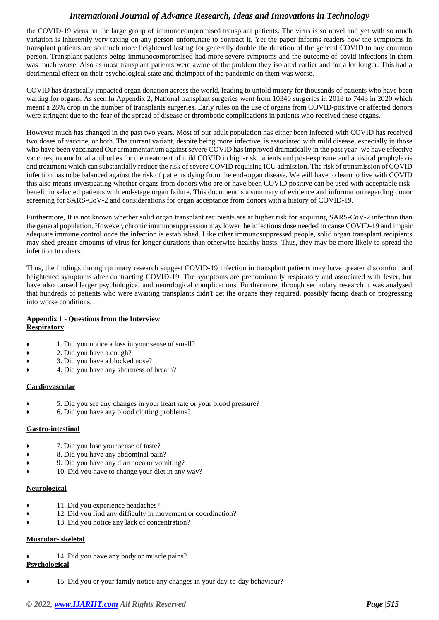the COVID-19 virus on the large group of immunocompromised transplant patients. The virus is so novel and yet with so much variation is inherently very taxing on any person unfortunate to contract it. Yet the paper informs readers how the symptoms in transplant patients are so much more heightened lasting for generally double the duration of the general COVID to any common person. Transplant patients being immunocompromised had more severe symptoms and the outcome of covid infections in them was much worse. Also as most transplant patients were aware of the problem they isolated earlier and for a lot longer. This had a detrimental effect on their psychological state and theimpact of the pandemic on them was worse.

COVID has drastically impacted organ donation across the world, leading to untold misery for thousands of patients who have been waiting for organs. As seen In Appendix 2, National transplant surgeries went from 10340 surgeries in 2018 to 7443 in 2020 which meant a 28% drop in the number of transplants surgeries. Early rules on the use of organs from COVID-positive or affected donors were stringent due to the fear of the spread of disease or thrombotic complications in patients who received these organs.

However much has changed in the past two years. Most of our adult population has either been infected with COVID has received two doses of vaccine, or both. The current variant, despite being more infective, is associated with mild disease, especially in those who have been vaccinated Our armamentarium against severe COVID has improved dramatically in the past year- we have effective vaccines, monoclonal antibodies for the treatment of mild COVID in high-risk patients and post-exposure and antiviral prophylaxis and treatment which can substantially reduce the risk of severe COVID requiring ICU admission. The risk of transmission of COVID infection has to be balanced against the risk of patients dying from the end-organ disease. We will have to learn to live with COVID this also means investigating whether organs from donors who are or have been COVID positive can be used with acceptable riskbenefit in selected patients with end-stage organ failure. This document is a summary of evidence and information regarding donor screening for SARS-CoV-2 and considerations for organ acceptance from donors with a history of COVID-19.

Furthermore, It is not known whether solid organ transplant recipients are at higher risk for acquiring SARS-CoV-2 infection than the general population. However, chronic immunosuppression may lower the infectious dose needed to cause COVID-19 and impair adequate immune control once the infection is established. Like other immunosuppressed people, solid organ transplant recipients may shed greater amounts of virus for longer durations than otherwise healthy hosts. Thus, they may be more likely to spread the infection to others.

Thus, the findings through primary research suggest COVID-19 infection in transplant patients may have greater discomfort and heightened symptoms after contracting COVID-19. The symptoms are predominantly respiratory and associated with fever, but have also caused larger psychological and neurological complications. Furthermore, through secondary research it was analysed that hundreds of patients who were awaiting transplants didn't get the organs they required, possibly facing death or progressing into worse conditions.

### **Appendix 1 - Questions from the Interview Respiratory**

- 1. Did you notice a loss in your sense of smell?
- 2. Did you have a cough?
- 3. Did you have a blocked nose?
- 4. Did you have any shortness of breath?

### **Cardiovascular**

- 5. Did you see any changes in your heart rate or your blood pressure?
- 6. Did you have any blood clotting problems?

### **Gastro-intestinal**

- 7. Did you lose your sense of taste?
- 8. Did you have any abdominal pain?
- 9. Did you have any diarrhoea or vomiting?
- 10. Did you have to change your diet in any way?

### **Neurological**

- 11. Did you experience headaches?
- 12. Did you find any difficulty in movement or coordination?
- 13. Did you notice any lack of concentration?

### **Muscular- skeletal**

14. Did you have any body or muscle pains? **Psychological**

15. Did you or your family notice any changes in your day-to-day behaviour?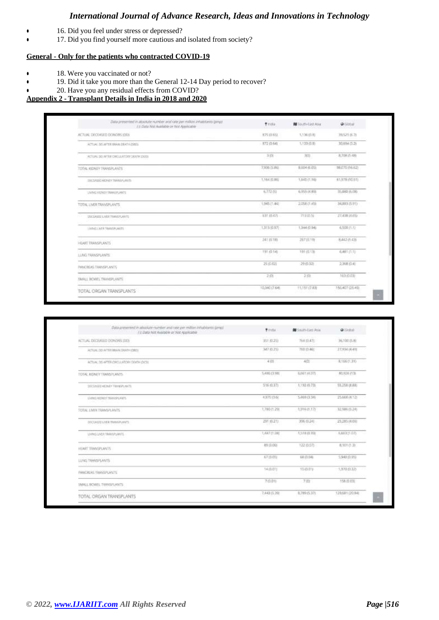- **•** 16. Did you feel under stress or depressed?
- 17. Did you find yourself more cautious and isolated from society?

# **General - Only for the patients who contracted COVID-19**

- 18. Were you vaccinated or not?
- 19. Did it take you more than the General 12-14 Day period to recover?

# 20. Have you any residual effects from COVID?

# **Appendix 2 - Transplant Details in India in 2018 and 2020**

| Data presented in attack to marker and rate per million inhabitants (pings)<br>F.I. Data Not Austiditie or two Applicable | <b>Tinta</b>  | <b>NE</b> Touth-East Asia | @ Giorgial       |
|---------------------------------------------------------------------------------------------------------------------------|---------------|---------------------------|------------------|
| ACTUAL DECEASED DONORS 100x                                                                                               | <b>相写 田毛田</b> | 1.136 (0.8)               | 3/6521 0571      |
| ACTUAL DO AFTER GRAN DEATH (ORD)                                                                                          | 372 (0.64)    | 1.133 (0.9)               | 30.694 (5.2)     |
| ACTUAL DE AFTER CRELLATORY DRATH JOCOT                                                                                    | 31%           | $300$                     | 8,708.01-9B      |
| TOTAL KIDNEY TRANSPLANTS                                                                                                  | 美里地位商业        | 8.604 (6.05)              | 98.070 (16.62)   |
| THE MIKE HENRY TRANSALMERS.                                                                                               | 1,384,03.882  | 1,645 (1.10)              | 61,978 (10.51)   |
| LIVING RICHEY TRANSPLANTS                                                                                                 | 6,772,00      | 6,955 (4,87).             | 15.840.0100      |
| TOTAL LIVER TRANSPLANTS                                                                                                   | 1,945.11.441  | 2:058 (1.45)              | 34883 (5.91)     |
| <b>USCOURS LIVER TRANSPORTS</b><br>stan reset                                                                             | 当时 (0.47)     | 岩洞防加                      | 27.438 (6.65)    |
| UNNELSER HWYERLANTS                                                                                                       | 1,313,02.97   | 1,344 (0.94)              | 6,500 (1.1)      |
| HEART TRANSPORTS                                                                                                          | 243 III 1H)   | 酒花田市                      | 8,442 (1.43)     |
| <b>LUNG TRANSPLANTS</b>                                                                                                   | 191.0140      | 19110138                  | 6,881 (1.1)      |
| PANCISON TRANSPLANTS                                                                                                      | 25 (0.02)     | 29 (0.02)                 | 2,368 位4         |
| <b>EMALL BOWEL TAIMERLANTS</b>                                                                                            | 2,01          | 2回                        | 16310.030        |
| TOTAL ORGAN TRANSPLANTS                                                                                                   | 10,340 (7.64) | 81,151 (7.83)             | 150.407 (35.41). |

| Data presented in attention number and race per million inhabitance (prest)<br>I'll Data Not Available or Not Applicable | <b>Winds</b>            | <b>NE</b> South-East Asia   | <b>Q</b> Gottal              |
|--------------------------------------------------------------------------------------------------------------------------|-------------------------|-----------------------------|------------------------------|
| ACTUAL DECEASED DONDRS (DD)                                                                                              | 我们四                     | <b>PROVIDER</b><br>75兵印47日  | 36.100 四 刷                   |
| ACTUAL OD ACTIVE BRAIN DANTH (CRO).                                                                                      | 347 81291               | 750 (5.46)                  | 22334.04.4円                  |
| ACTUAL DO AFTER ORDULATORY DEATH (DOTE)                                                                                  | 4.01                    | 485                         | 8,166(1.31)                  |
| TOTAL RIDNEY TRANSPLANTS.                                                                                                | 1,416 (3.98).           | 5,061,0033                  | BL/326 (1.3)                 |
| DECEMED ADJNET TRANSPLANTS                                                                                               | 516 (0.37)<br>294       | 1,192.03.731<br>NGC 2042 MB | 55,258 (8.88)                |
| LIVING RIDNEY YAAVARAARTS                                                                                                | 4,970,0566              | 3,469 (3.34)                | 25,600 (4.12)                |
| FOTAL LIVIN TRANSPLANTS                                                                                                  | 1,780 (1.29)            | 1,916 (1.17)                | 12,586 (5.24)                |
| SECONICO LIVER TEMMEPLANTS.                                                                                              | 291 (0.21)<br>a Mata Wa | 396 川.24<br><b>CARL COM</b> | 25,285.01.065<br>-70139810.h |
| LIVING LINER TRANSPLANTS.                                                                                                | 1,447 (1.00)            | 1,51810.031                 | 私務経営部門                       |
| HEART TRANSPLANTS                                                                                                        | 89 (0.06)               | 122 (0.07)                  | 6.111 (1.3)                  |
| LUNG TRANSPLANTS                                                                                                         | 67 (0.0%)               | 储值块                         | 5,940 (0.95)                 |
| <b>INNOREAE TIMOGRUNNER</b>                                                                                              | 14 (6.01)               | 15 (0.07)                   | 1,970.05.325                 |
| SMALL BOWEL TRANSPLANTS                                                                                                  | 7:00:011                | 7.931                       | 158 (0.03).                  |
| TOTAL ORGAN TRANSPLANTS                                                                                                  | 7,443 (5.39)            | 8,789 (S.37)                | 129,691 (20.54)              |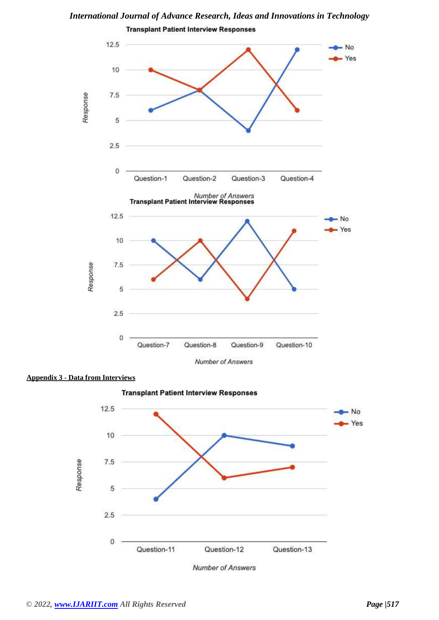*International Journal of Advance Research, Ideas and Innovations in Technology*





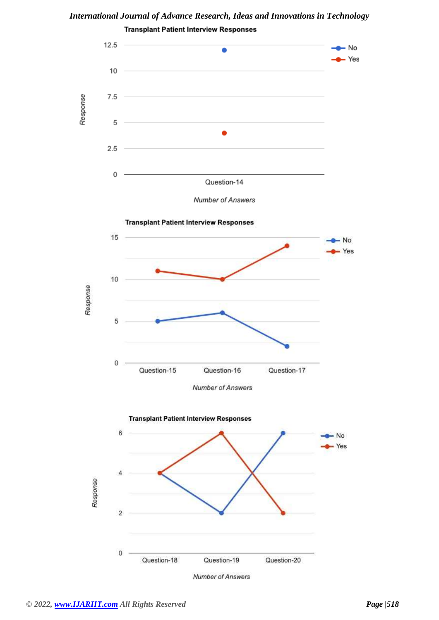

*International Journal of Advance Research, Ideas and Innovations in Technology*